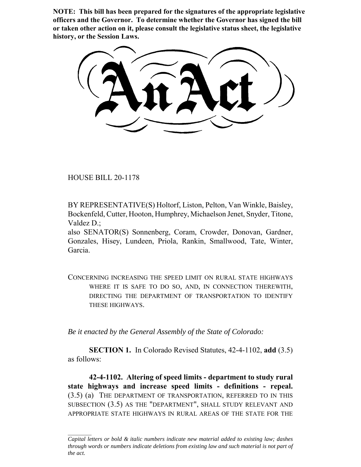**NOTE: This bill has been prepared for the signatures of the appropriate legislative officers and the Governor. To determine whether the Governor has signed the bill or taken other action on it, please consult the legislative status sheet, the legislative history, or the Session Laws.**

HOUSE BILL 20-1178

BY REPRESENTATIVE(S) Holtorf, Liston, Pelton, Van Winkle, Baisley, Bockenfeld, Cutter, Hooton, Humphrey, Michaelson Jenet, Snyder, Titone, Valdez D.;

also SENATOR(S) Sonnenberg, Coram, Crowder, Donovan, Gardner, Gonzales, Hisey, Lundeen, Priola, Rankin, Smallwood, Tate, Winter, Garcia.

CONCERNING INCREASING THE SPEED LIMIT ON RURAL STATE HIGHWAYS WHERE IT IS SAFE TO DO SO, AND, IN CONNECTION THEREWITH, DIRECTING THE DEPARTMENT OF TRANSPORTATION TO IDENTIFY THESE HIGHWAYS.

*Be it enacted by the General Assembly of the State of Colorado:*

**SECTION 1.** In Colorado Revised Statutes, 42-4-1102, **add** (3.5) as follows:

**42-4-1102. Altering of speed limits - department to study rural state highways and increase speed limits - definitions - repeal.** (3.5) (a) THE DEPARTMENT OF TRANSPORTATION, REFERRED TO IN THIS SUBSECTION (3.5) AS THE "DEPARTMENT", SHALL STUDY RELEVANT AND APPROPRIATE STATE HIGHWAYS IN RURAL AREAS OF THE STATE FOR THE

*Capital letters or bold & italic numbers indicate new material added to existing law; dashes through words or numbers indicate deletions from existing law and such material is not part of the act.*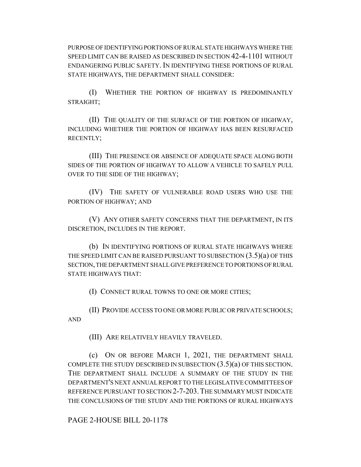PURPOSE OF IDENTIFYING PORTIONS OF RURAL STATE HIGHWAYS WHERE THE SPEED LIMIT CAN BE RAISED AS DESCRIBED IN SECTION 42-4-1101 WITHOUT ENDANGERING PUBLIC SAFETY. IN IDENTIFYING THESE PORTIONS OF RURAL STATE HIGHWAYS, THE DEPARTMENT SHALL CONSIDER:

(I) WHETHER THE PORTION OF HIGHWAY IS PREDOMINANTLY STRAIGHT;

(II) THE QUALITY OF THE SURFACE OF THE PORTION OF HIGHWAY, INCLUDING WHETHER THE PORTION OF HIGHWAY HAS BEEN RESURFACED RECENTLY;

(III) THE PRESENCE OR ABSENCE OF ADEQUATE SPACE ALONG BOTH SIDES OF THE PORTION OF HIGHWAY TO ALLOW A VEHICLE TO SAFELY PULL OVER TO THE SIDE OF THE HIGHWAY;

(IV) THE SAFETY OF VULNERABLE ROAD USERS WHO USE THE PORTION OF HIGHWAY; AND

(V) ANY OTHER SAFETY CONCERNS THAT THE DEPARTMENT, IN ITS DISCRETION, INCLUDES IN THE REPORT.

(b) IN IDENTIFYING PORTIONS OF RURAL STATE HIGHWAYS WHERE THE SPEED LIMIT CAN BE RAISED PURSUANT TO SUBSECTION  $(3.5)(a)$  OF THIS SECTION, THE DEPARTMENT SHALL GIVE PREFERENCE TO PORTIONS OF RURAL STATE HIGHWAYS THAT:

(I) CONNECT RURAL TOWNS TO ONE OR MORE CITIES;

(II) PROVIDE ACCESS TO ONE OR MORE PUBLIC OR PRIVATE SCHOOLS; AND

(III) ARE RELATIVELY HEAVILY TRAVELED.

(c) ON OR BEFORE MARCH 1, 2021, THE DEPARTMENT SHALL COMPLETE THE STUDY DESCRIBED IN SUBSECTION  $(3.5)(a)$  OF THIS SECTION. THE DEPARTMENT SHALL INCLUDE A SUMMARY OF THE STUDY IN THE DEPARTMENT'S NEXT ANNUAL REPORT TO THE LEGISLATIVE COMMITTEES OF REFERENCE PURSUANT TO SECTION 2-7-203.THE SUMMARY MUST INDICATE THE CONCLUSIONS OF THE STUDY AND THE PORTIONS OF RURAL HIGHWAYS

PAGE 2-HOUSE BILL 20-1178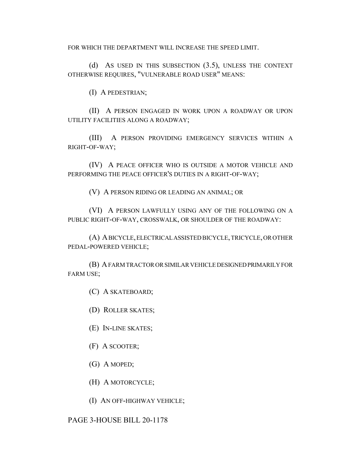FOR WHICH THE DEPARTMENT WILL INCREASE THE SPEED LIMIT.

(d) AS USED IN THIS SUBSECTION (3.5), UNLESS THE CONTEXT OTHERWISE REQUIRES, "VULNERABLE ROAD USER" MEANS:

(I) A PEDESTRIAN;

(II) A PERSON ENGAGED IN WORK UPON A ROADWAY OR UPON UTILITY FACILITIES ALONG A ROADWAY;

(III) A PERSON PROVIDING EMERGENCY SERVICES WITHIN A RIGHT-OF-WAY;

(IV) A PEACE OFFICER WHO IS OUTSIDE A MOTOR VEHICLE AND PERFORMING THE PEACE OFFICER'S DUTIES IN A RIGHT-OF-WAY;

(V) A PERSON RIDING OR LEADING AN ANIMAL; OR

(VI) A PERSON LAWFULLY USING ANY OF THE FOLLOWING ON A PUBLIC RIGHT-OF-WAY, CROSSWALK, OR SHOULDER OF THE ROADWAY:

(A) A BICYCLE, ELECTRICAL ASSISTED BICYCLE, TRICYCLE, OR OTHER PEDAL-POWERED VEHICLE;

(B) A FARM TRACTOR OR SIMILAR VEHICLE DESIGNED PRIMARILY FOR FARM USE;

(C) A SKATEBOARD;

(D) ROLLER SKATES;

(E) IN-LINE SKATES;

(F) A SCOOTER;

(G) A MOPED;

(H) A MOTORCYCLE;

(I) AN OFF-HIGHWAY VEHICLE;

PAGE 3-HOUSE BILL 20-1178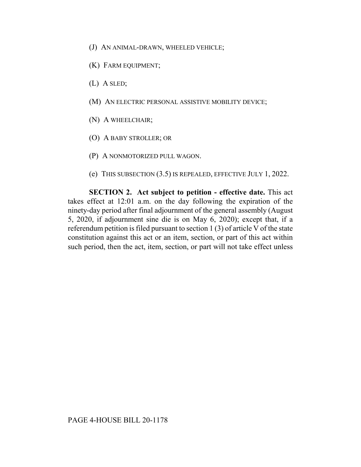- (J) AN ANIMAL-DRAWN, WHEELED VEHICLE;
- (K) FARM EQUIPMENT;
- (L) A SLED;
- (M) AN ELECTRIC PERSONAL ASSISTIVE MOBILITY DEVICE;
- (N) A WHEELCHAIR;
- (O) A BABY STROLLER; OR
- (P) A NONMOTORIZED PULL WAGON.
- (e) THIS SUBSECTION (3.5) IS REPEALED, EFFECTIVE JULY 1, 2022.

**SECTION 2. Act subject to petition - effective date.** This act takes effect at 12:01 a.m. on the day following the expiration of the ninety-day period after final adjournment of the general assembly (August 5, 2020, if adjournment sine die is on May 6, 2020); except that, if a referendum petition is filed pursuant to section 1 (3) of article V of the state constitution against this act or an item, section, or part of this act within such period, then the act, item, section, or part will not take effect unless